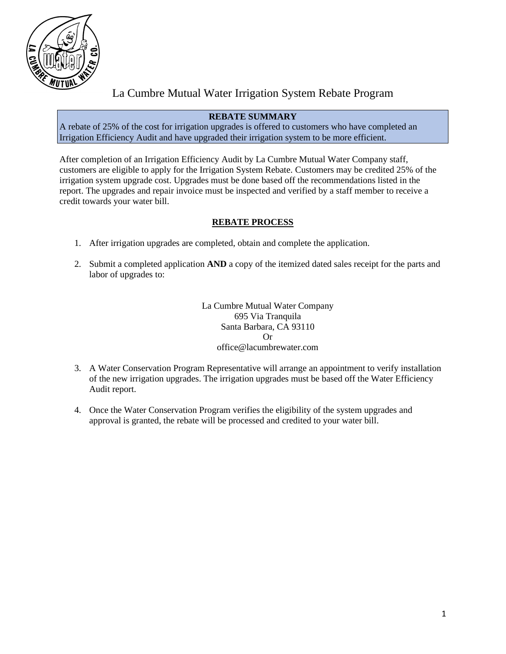

# La Cumbre Mutual Water Irrigation System Rebate Program

# **REBATE SUMMARY**

A rebate of 25% of the cost for irrigation upgrades is offered to customers who have completed an Irrigation Efficiency Audit and have upgraded their irrigation system to be more efficient.

After completion of an Irrigation Efficiency Audit by La Cumbre Mutual Water Company staff, customers are eligible to apply for the Irrigation System Rebate. Customers may be credited 25% of the irrigation system upgrade cost. Upgrades must be done based off the recommendations listed in the report. The upgrades and repair invoice must be inspected and verified by a staff member to receive a credit towards your water bill.

# **REBATE PROCESS**

- 1. After irrigation upgrades are completed, obtain and complete the application.
- 2. Submit a completed application **AND** a copy of the itemized dated sales receipt for the parts and labor of upgrades to:

La Cumbre Mutual Water Company 695 Via Tranquila Santa Barbara, CA 93110 Or office@lacumbrewater.com

- 3. A Water Conservation Program Representative will arrange an appointment to verify installation of the new irrigation upgrades. The irrigation upgrades must be based off the Water Efficiency Audit report.
- 4. Once the Water Conservation Program verifies the eligibility of the system upgrades and approval is granted, the rebate will be processed and credited to your water bill.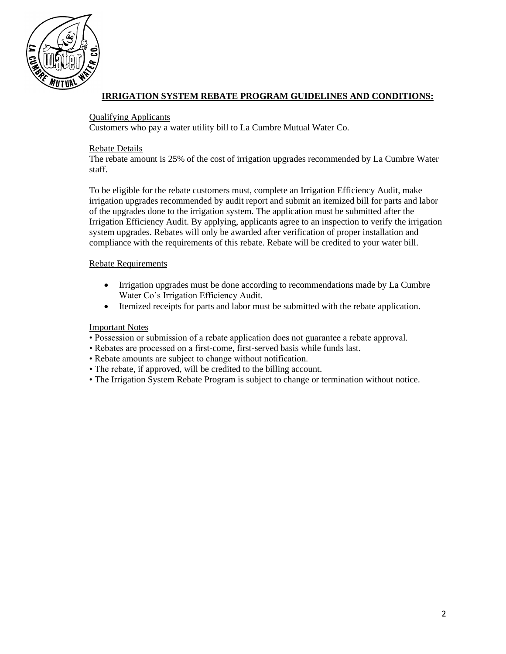

# **IRRIGATION SYSTEM REBATE PROGRAM GUIDELINES AND CONDITIONS:**

#### Qualifying Applicants

Customers who pay a water utility bill to La Cumbre Mutual Water Co.

#### Rebate Details

The rebate amount is 25% of the cost of irrigation upgrades recommended by La Cumbre Water staff.

To be eligible for the rebate customers must, complete an Irrigation Efficiency Audit, make irrigation upgrades recommended by audit report and submit an itemized bill for parts and labor of the upgrades done to the irrigation system. The application must be submitted after the Irrigation Efficiency Audit. By applying, applicants agree to an inspection to verify the irrigation system upgrades. Rebates will only be awarded after verification of proper installation and compliance with the requirements of this rebate. Rebate will be credited to your water bill.

#### Rebate Requirements

- Irrigation upgrades must be done according to recommendations made by La Cumbre Water Co's Irrigation Efficiency Audit.
- Itemized receipts for parts and labor must be submitted with the rebate application.

#### Important Notes

- Possession or submission of a rebate application does not guarantee a rebate approval.
- Rebates are processed on a first-come, first-served basis while funds last.
- Rebate amounts are subject to change without notification.
- The rebate, if approved, will be credited to the billing account.
- The Irrigation System Rebate Program is subject to change or termination without notice.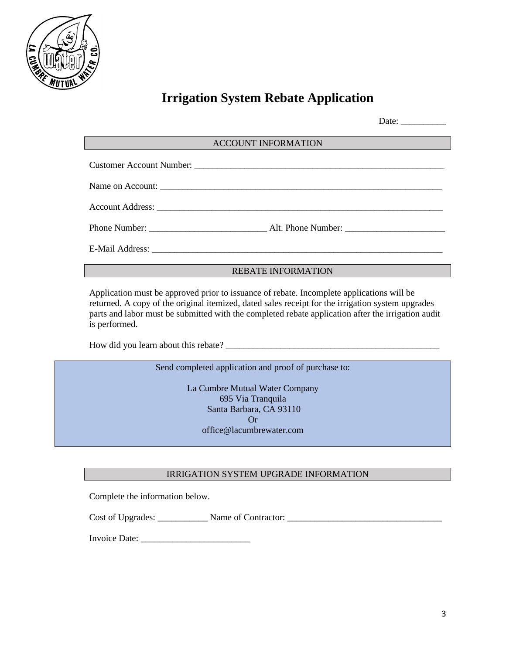

# **Irrigation System Rebate Application**

|                            | Date: $\frac{1}{\sqrt{1-\frac{1}{2}} \cdot \frac{1}{2}}$ |
|----------------------------|----------------------------------------------------------|
| <b>ACCOUNT INFORMATION</b> |                                                          |
|                            |                                                          |
|                            |                                                          |
|                            |                                                          |
|                            |                                                          |
|                            |                                                          |
| <b>REBATE INFORMATION</b>  |                                                          |

Application must be approved prior to issuance of rebate. Incomplete applications will be returned. A copy of the original itemized, dated sales receipt for the irrigation system upgrades parts and labor must be submitted with the completed rebate application after the irrigation audit is performed.

How did you learn about this rebate?

Send completed application and proof of purchase to:

La Cumbre Mutual Water Company 695 Via Tranquila Santa Barbara, CA 93110 Or office@lacumbrewater.com

# IRRIGATION SYSTEM UPGRADE INFORMATION

Complete the information below.

Cost of Upgrades: \_\_\_\_\_\_\_\_\_\_\_\_\_\_ Name of Contractor: \_\_\_\_\_\_\_\_\_\_\_\_\_\_\_\_\_\_\_\_\_\_\_\_\_\_\_\_

Invoice Date: \_\_\_\_\_\_\_\_\_\_\_\_\_\_\_\_\_\_\_\_\_\_\_\_